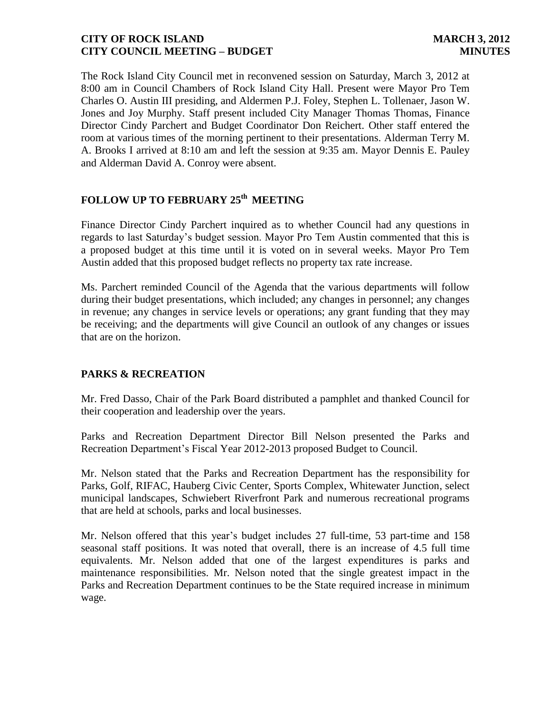The Rock Island City Council met in reconvened session on Saturday, March 3, 2012 at 8:00 am in Council Chambers of Rock Island City Hall. Present were Mayor Pro Tem Charles O. Austin III presiding, and Aldermen P.J. Foley, Stephen L. Tollenaer, Jason W. Jones and Joy Murphy. Staff present included City Manager Thomas Thomas, Finance Director Cindy Parchert and Budget Coordinator Don Reichert. Other staff entered the room at various times of the morning pertinent to their presentations. Alderman Terry M. A. Brooks I arrived at 8:10 am and left the session at 9:35 am. Mayor Dennis E. Pauley and Alderman David A. Conroy were absent.

# **FOLLOW UP TO FEBRUARY 25 th MEETING**

Finance Director Cindy Parchert inquired as to whether Council had any questions in regards to last Saturday's budget session. Mayor Pro Tem Austin commented that this is a proposed budget at this time until it is voted on in several weeks. Mayor Pro Tem Austin added that this proposed budget reflects no property tax rate increase.

Ms. Parchert reminded Council of the Agenda that the various departments will follow during their budget presentations, which included; any changes in personnel; any changes in revenue; any changes in service levels or operations; any grant funding that they may be receiving; and the departments will give Council an outlook of any changes or issues that are on the horizon.

# **PARKS & RECREATION**

Mr. Fred Dasso, Chair of the Park Board distributed a pamphlet and thanked Council for their cooperation and leadership over the years.

Parks and Recreation Department Director Bill Nelson presented the Parks and Recreation Department's Fiscal Year 2012-2013 proposed Budget to Council.

Mr. Nelson stated that the Parks and Recreation Department has the responsibility for Parks, Golf, RIFAC, Hauberg Civic Center, Sports Complex, Whitewater Junction, select municipal landscapes, Schwiebert Riverfront Park and numerous recreational programs that are held at schools, parks and local businesses.

Mr. Nelson offered that this year's budget includes 27 full-time, 53 part-time and 158 seasonal staff positions. It was noted that overall, there is an increase of 4.5 full time equivalents. Mr. Nelson added that one of the largest expenditures is parks and maintenance responsibilities. Mr. Nelson noted that the single greatest impact in the Parks and Recreation Department continues to be the State required increase in minimum wage.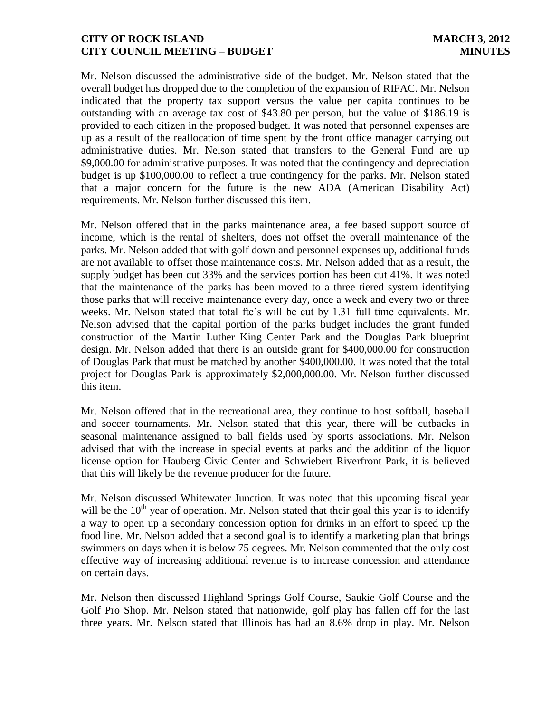Mr. Nelson discussed the administrative side of the budget. Mr. Nelson stated that the overall budget has dropped due to the completion of the expansion of RIFAC. Mr. Nelson indicated that the property tax support versus the value per capita continues to be outstanding with an average tax cost of \$43.80 per person, but the value of \$186.19 is provided to each citizen in the proposed budget. It was noted that personnel expenses are up as a result of the reallocation of time spent by the front office manager carrying out administrative duties. Mr. Nelson stated that transfers to the General Fund are up \$9,000.00 for administrative purposes. It was noted that the contingency and depreciation budget is up \$100,000.00 to reflect a true contingency for the parks. Mr. Nelson stated that a major concern for the future is the new ADA (American Disability Act) requirements. Mr. Nelson further discussed this item.

Mr. Nelson offered that in the parks maintenance area, a fee based support source of income, which is the rental of shelters, does not offset the overall maintenance of the parks. Mr. Nelson added that with golf down and personnel expenses up, additional funds are not available to offset those maintenance costs. Mr. Nelson added that as a result, the supply budget has been cut 33% and the services portion has been cut 41%. It was noted that the maintenance of the parks has been moved to a three tiered system identifying those parks that will receive maintenance every day, once a week and every two or three weeks. Mr. Nelson stated that total fte's will be cut by 1.31 full time equivalents. Mr. Nelson advised that the capital portion of the parks budget includes the grant funded construction of the Martin Luther King Center Park and the Douglas Park blueprint design. Mr. Nelson added that there is an outside grant for \$400,000.00 for construction of Douglas Park that must be matched by another \$400,000.00. It was noted that the total project for Douglas Park is approximately \$2,000,000.00. Mr. Nelson further discussed this item.

Mr. Nelson offered that in the recreational area, they continue to host softball, baseball and soccer tournaments. Mr. Nelson stated that this year, there will be cutbacks in seasonal maintenance assigned to ball fields used by sports associations. Mr. Nelson advised that with the increase in special events at parks and the addition of the liquor license option for Hauberg Civic Center and Schwiebert Riverfront Park, it is believed that this will likely be the revenue producer for the future.

Mr. Nelson discussed Whitewater Junction. It was noted that this upcoming fiscal year will be the  $10<sup>th</sup>$  year of operation. Mr. Nelson stated that their goal this year is to identify a way to open up a secondary concession option for drinks in an effort to speed up the food line. Mr. Nelson added that a second goal is to identify a marketing plan that brings swimmers on days when it is below 75 degrees. Mr. Nelson commented that the only cost effective way of increasing additional revenue is to increase concession and attendance on certain days.

Mr. Nelson then discussed Highland Springs Golf Course, Saukie Golf Course and the Golf Pro Shop. Mr. Nelson stated that nationwide, golf play has fallen off for the last three years. Mr. Nelson stated that Illinois has had an 8.6% drop in play. Mr. Nelson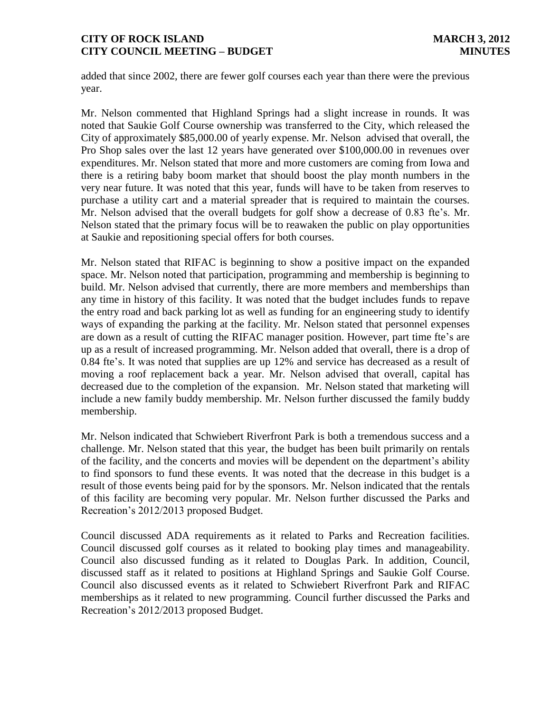added that since 2002, there are fewer golf courses each year than there were the previous year.

Mr. Nelson commented that Highland Springs had a slight increase in rounds. It was noted that Saukie Golf Course ownership was transferred to the City, which released the City of approximately \$85,000.00 of yearly expense. Mr. Nelson advised that overall, the Pro Shop sales over the last 12 years have generated over \$100,000.00 in revenues over expenditures. Mr. Nelson stated that more and more customers are coming from Iowa and there is a retiring baby boom market that should boost the play month numbers in the very near future. It was noted that this year, funds will have to be taken from reserves to purchase a utility cart and a material spreader that is required to maintain the courses. Mr. Nelson advised that the overall budgets for golf show a decrease of 0.83 fte's. Mr. Nelson stated that the primary focus will be to reawaken the public on play opportunities at Saukie and repositioning special offers for both courses.

Mr. Nelson stated that RIFAC is beginning to show a positive impact on the expanded space. Mr. Nelson noted that participation, programming and membership is beginning to build. Mr. Nelson advised that currently, there are more members and memberships than any time in history of this facility. It was noted that the budget includes funds to repave the entry road and back parking lot as well as funding for an engineering study to identify ways of expanding the parking at the facility. Mr. Nelson stated that personnel expenses are down as a result of cutting the RIFAC manager position. However, part time fte's are up as a result of increased programming. Mr. Nelson added that overall, there is a drop of 0.84 fte's. It was noted that supplies are up 12% and service has decreased as a result of moving a roof replacement back a year. Mr. Nelson advised that overall, capital has decreased due to the completion of the expansion. Mr. Nelson stated that marketing will include a new family buddy membership. Mr. Nelson further discussed the family buddy membership.

Mr. Nelson indicated that Schwiebert Riverfront Park is both a tremendous success and a challenge. Mr. Nelson stated that this year, the budget has been built primarily on rentals of the facility, and the concerts and movies will be dependent on the department's ability to find sponsors to fund these events. It was noted that the decrease in this budget is a result of those events being paid for by the sponsors. Mr. Nelson indicated that the rentals of this facility are becoming very popular. Mr. Nelson further discussed the Parks and Recreation's 2012/2013 proposed Budget.

Council discussed ADA requirements as it related to Parks and Recreation facilities. Council discussed golf courses as it related to booking play times and manageability. Council also discussed funding as it related to Douglas Park. In addition, Council, discussed staff as it related to positions at Highland Springs and Saukie Golf Course. Council also discussed events as it related to Schwiebert Riverfront Park and RIFAC memberships as it related to new programming. Council further discussed the Parks and Recreation's 2012/2013 proposed Budget.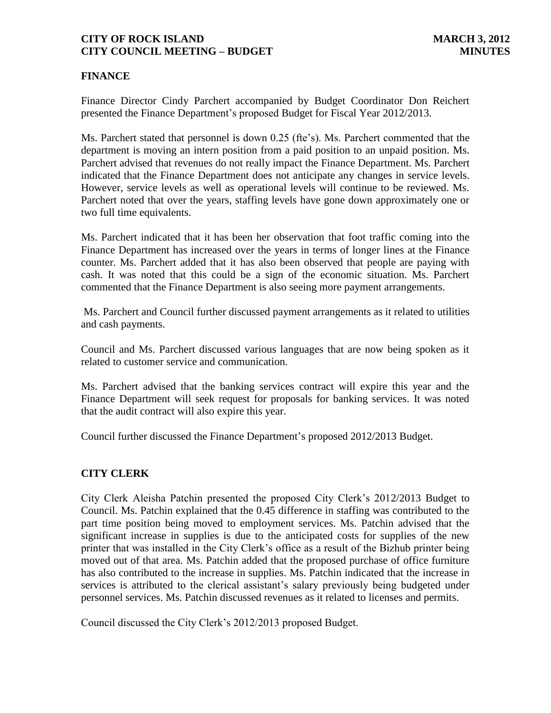# **FINANCE**

Finance Director Cindy Parchert accompanied by Budget Coordinator Don Reichert presented the Finance Department's proposed Budget for Fiscal Year 2012/2013.

Ms. Parchert stated that personnel is down 0.25 (fte's). Ms. Parchert commented that the department is moving an intern position from a paid position to an unpaid position. Ms. Parchert advised that revenues do not really impact the Finance Department. Ms. Parchert indicated that the Finance Department does not anticipate any changes in service levels. However, service levels as well as operational levels will continue to be reviewed. Ms. Parchert noted that over the years, staffing levels have gone down approximately one or two full time equivalents.

Ms. Parchert indicated that it has been her observation that foot traffic coming into the Finance Department has increased over the years in terms of longer lines at the Finance counter. Ms. Parchert added that it has also been observed that people are paying with cash. It was noted that this could be a sign of the economic situation. Ms. Parchert commented that the Finance Department is also seeing more payment arrangements.

Ms. Parchert and Council further discussed payment arrangements as it related to utilities and cash payments.

Council and Ms. Parchert discussed various languages that are now being spoken as it related to customer service and communication.

Ms. Parchert advised that the banking services contract will expire this year and the Finance Department will seek request for proposals for banking services. It was noted that the audit contract will also expire this year.

Council further discussed the Finance Department's proposed 2012/2013 Budget.

# **CITY CLERK**

City Clerk Aleisha Patchin presented the proposed City Clerk's 2012/2013 Budget to Council. Ms. Patchin explained that the 0.45 difference in staffing was contributed to the part time position being moved to employment services. Ms. Patchin advised that the significant increase in supplies is due to the anticipated costs for supplies of the new printer that was installed in the City Clerk's office as a result of the Bizhub printer being moved out of that area. Ms. Patchin added that the proposed purchase of office furniture has also contributed to the increase in supplies. Ms. Patchin indicated that the increase in services is attributed to the clerical assistant's salary previously being budgeted under personnel services. Ms. Patchin discussed revenues as it related to licenses and permits.

Council discussed the City Clerk's 2012/2013 proposed Budget.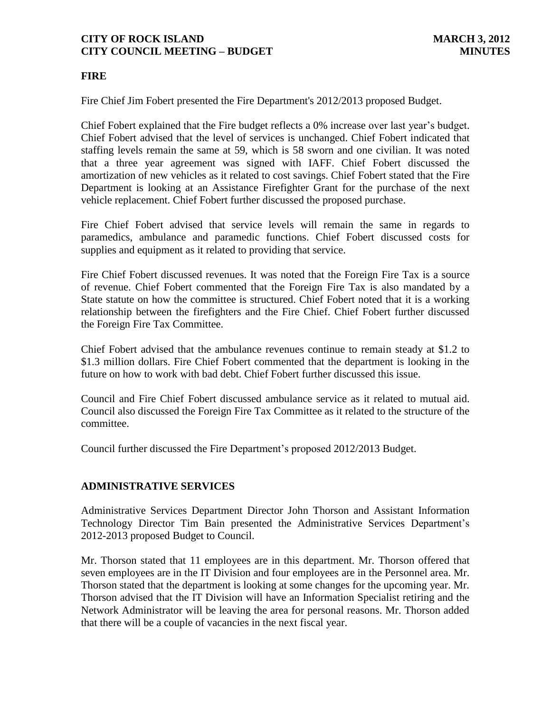#### **FIRE**

Fire Chief Jim Fobert presented the Fire Department's 2012/2013 proposed Budget.

Chief Fobert explained that the Fire budget reflects a 0% increase over last year's budget. Chief Fobert advised that the level of services is unchanged. Chief Fobert indicated that staffing levels remain the same at 59, which is 58 sworn and one civilian. It was noted that a three year agreement was signed with IAFF. Chief Fobert discussed the amortization of new vehicles as it related to cost savings. Chief Fobert stated that the Fire Department is looking at an Assistance Firefighter Grant for the purchase of the next vehicle replacement. Chief Fobert further discussed the proposed purchase.

Fire Chief Fobert advised that service levels will remain the same in regards to paramedics, ambulance and paramedic functions. Chief Fobert discussed costs for supplies and equipment as it related to providing that service.

Fire Chief Fobert discussed revenues. It was noted that the Foreign Fire Tax is a source of revenue. Chief Fobert commented that the Foreign Fire Tax is also mandated by a State statute on how the committee is structured. Chief Fobert noted that it is a working relationship between the firefighters and the Fire Chief. Chief Fobert further discussed the Foreign Fire Tax Committee.

Chief Fobert advised that the ambulance revenues continue to remain steady at \$1.2 to \$1.3 million dollars. Fire Chief Fobert commented that the department is looking in the future on how to work with bad debt. Chief Fobert further discussed this issue.

Council and Fire Chief Fobert discussed ambulance service as it related to mutual aid. Council also discussed the Foreign Fire Tax Committee as it related to the structure of the committee.

Council further discussed the Fire Department's proposed 2012/2013 Budget.

#### **ADMINISTRATIVE SERVICES**

Administrative Services Department Director John Thorson and Assistant Information Technology Director Tim Bain presented the Administrative Services Department's 2012-2013 proposed Budget to Council.

Mr. Thorson stated that 11 employees are in this department. Mr. Thorson offered that seven employees are in the IT Division and four employees are in the Personnel area. Mr. Thorson stated that the department is looking at some changes for the upcoming year. Mr. Thorson advised that the IT Division will have an Information Specialist retiring and the Network Administrator will be leaving the area for personal reasons. Mr. Thorson added that there will be a couple of vacancies in the next fiscal year.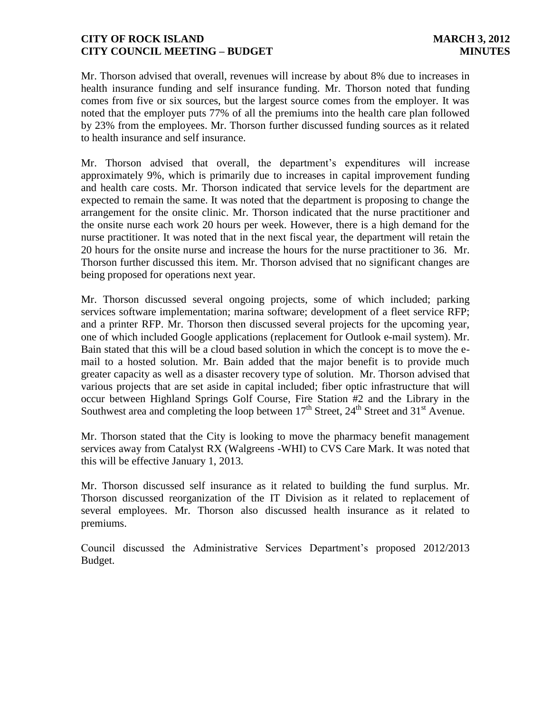Mr. Thorson advised that overall, revenues will increase by about 8% due to increases in health insurance funding and self insurance funding. Mr. Thorson noted that funding comes from five or six sources, but the largest source comes from the employer. It was noted that the employer puts 77% of all the premiums into the health care plan followed by 23% from the employees. Mr. Thorson further discussed funding sources as it related to health insurance and self insurance.

Mr. Thorson advised that overall, the department's expenditures will increase approximately 9%, which is primarily due to increases in capital improvement funding and health care costs. Mr. Thorson indicated that service levels for the department are expected to remain the same. It was noted that the department is proposing to change the arrangement for the onsite clinic. Mr. Thorson indicated that the nurse practitioner and the onsite nurse each work 20 hours per week. However, there is a high demand for the nurse practitioner. It was noted that in the next fiscal year, the department will retain the 20 hours for the onsite nurse and increase the hours for the nurse practitioner to 36. Mr. Thorson further discussed this item. Mr. Thorson advised that no significant changes are being proposed for operations next year.

Mr. Thorson discussed several ongoing projects, some of which included; parking services software implementation; marina software; development of a fleet service RFP; and a printer RFP. Mr. Thorson then discussed several projects for the upcoming year, one of which included Google applications (replacement for Outlook e-mail system). Mr. Bain stated that this will be a cloud based solution in which the concept is to move the email to a hosted solution. Mr. Bain added that the major benefit is to provide much greater capacity as well as a disaster recovery type of solution. Mr. Thorson advised that various projects that are set aside in capital included; fiber optic infrastructure that will occur between Highland Springs Golf Course, Fire Station #2 and the Library in the Southwest area and completing the loop between  $17<sup>th</sup>$  Street,  $24<sup>th</sup>$  Street and  $31<sup>st</sup>$  Avenue.

Mr. Thorson stated that the City is looking to move the pharmacy benefit management services away from Catalyst RX (Walgreens -WHI) to CVS Care Mark. It was noted that this will be effective January 1, 2013.

Mr. Thorson discussed self insurance as it related to building the fund surplus. Mr. Thorson discussed reorganization of the IT Division as it related to replacement of several employees. Mr. Thorson also discussed health insurance as it related to premiums.

Council discussed the Administrative Services Department's proposed 2012/2013 Budget.